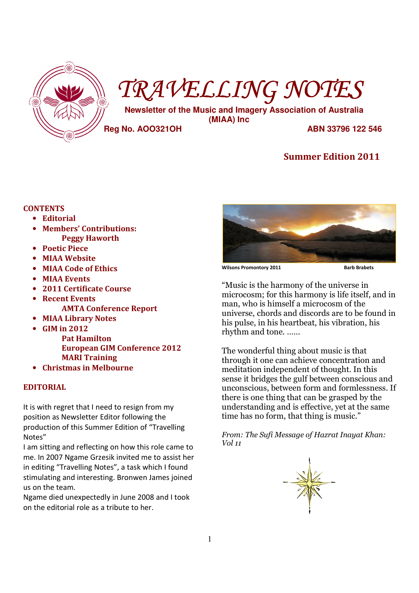

# TRAVELLING NOTES

 **Newsletter of the Music and Imagery Association of Australia (MIAA) Inc** 

**Reg No. AOO321OH ABN 33796 122 546** 

## Summer Edition 2011

## **CONTENTS**

- Editorial
- Members' Contributions: Peggy Haworth
- Poetic Piece
- **MIAA Website**
- MIAA Code of Ethics
- MIAA Events
- 2011 Certificate Course
- **Recent Events** AMTA Conference Report
- MIAA Library Notes
- GIM in 2012
	- Pat Hamilton European GIM Conference 2012 MARI Training
- Christmas in Melbourne

## EDITORIAL

It is with regret that I need to resign from my position as Newsletter Editor following the production of this Summer Edition of "Travelling Notes"

I am sitting and reflecting on how this role came to me. In 2007 Ngame Grzesik invited me to assist her in editing "Travelling Notes", a task which I found stimulating and interesting. Bronwen James joined us on the team.

Ngame died unexpectedly in June 2008 and I took on the editorial role as a tribute to her.



Wilsons Promontory 2011 **Barb Brabets** 

"Music is the harmony of the universe in microcosm; for this harmony is life itself, and in man, who is himself a microcosm of the universe, chords and discords are to be found in his pulse, in his heartbeat, his vibration, his rhythm and tone. ……

The wonderful thing about music is that through it one can achieve concentration and meditation independent of thought. In this sense it bridges the gulf between conscious and unconscious, between form and formlessness. If there is one thing that can be grasped by the understanding and is effective, yet at the same time has no form, that thing is music."

From: The Sufi Message of Hazrat Inayat Khan: Vol 11

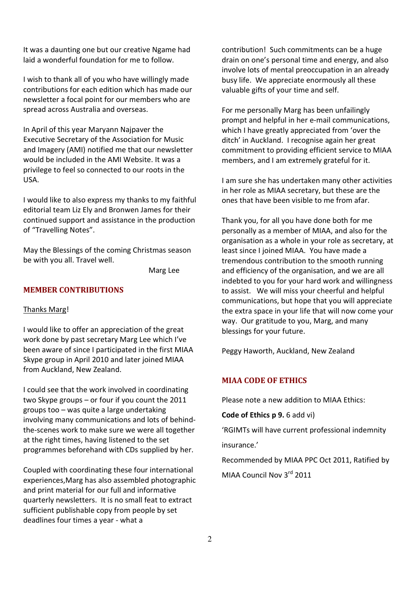It was a daunting one but our creative Ngame had laid a wonderful foundation for me to follow.

I wish to thank all of you who have willingly made contributions for each edition which has made our newsletter a focal point for our members who are spread across Australia and overseas.

In April of this year Maryann Najpaver the Executive Secretary of the Association for Music and Imagery (AMI) notified me that our newsletter would be included in the AMI Website. It was a privilege to feel so connected to our roots in the USA.

I would like to also express my thanks to my faithful editorial team Liz Ely and Bronwen James for their continued support and assistance in the production of "Travelling Notes".

May the Blessings of the coming Christmas season be with you all. Travel well.

Marg Lee

## MEMBER CONTRIBUTIONS

#### Thanks Marg!

I would like to offer an appreciation of the great work done by past secretary Marg Lee which I've been aware of since I participated in the first MIAA Skype group in April 2010 and later joined MIAA from Auckland, New Zealand.

I could see that the work involved in coordinating two Skype groups – or four if you count the 2011 groups too – was quite a large undertaking involving many communications and lots of behindthe-scenes work to make sure we were all together at the right times, having listened to the set programmes beforehand with CDs supplied by her.

Coupled with coordinating these four international experiences,Marg has also assembled photographic and print material for our full and informative quarterly newsletters. It is no small feat to extract sufficient publishable copy from people by set deadlines four times a year - what a

contribution! Such commitments can be a huge drain on one's personal time and energy, and also involve lots of mental preoccupation in an already busy life. We appreciate enormously all these valuable gifts of your time and self.

For me personally Marg has been unfailingly prompt and helpful in her e-mail communications, which I have greatly appreciated from 'over the ditch' in Auckland. I recognise again her great commitment to providing efficient service to MIAA members, and I am extremely grateful for it.

I am sure she has undertaken many other activities in her role as MIAA secretary, but these are the ones that have been visible to me from afar.

Thank you, for all you have done both for me personally as a member of MIAA, and also for the organisation as a whole in your role as secretary, at least since I joined MIAA. You have made a tremendous contribution to the smooth running and efficiency of the organisation, and we are all indebted to you for your hard work and willingness to assist. We will miss your cheerful and helpful communications, but hope that you will appreciate the extra space in your life that will now come your way. Our gratitude to you, Marg, and many blessings for your future.

Peggy Haworth, Auckland, New Zealand

## MIAA CODE OF ETHICS

Please note a new addition to MIAA Ethics:

Code of Ethics p 9. 6 add vi)

'RGIMTs will have current professional indemnity insurance.'

Recommended by MIAA PPC Oct 2011, Ratified by MIAA Council Nov 3<sup>rd</sup> 2011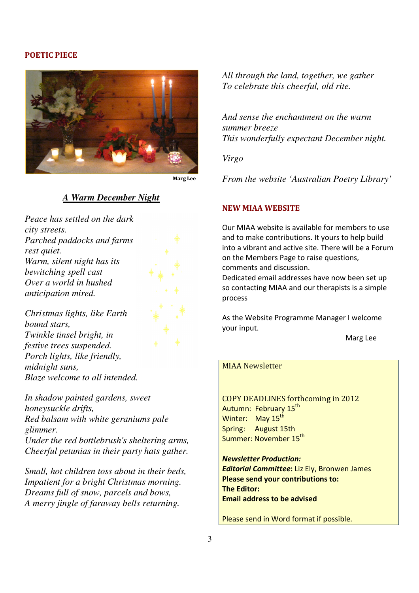## POETIC PIECE



## *A Warm December Night*

*Peace has settled on the dark city streets. Parched paddocks and farms rest quiet. Warm, silent night has its bewitching spell cast Over a world in hushed anticipation mired.* 



*Christmas lights, like Earth bound stars, Twinkle tinsel bright, in festive trees suspended. Porch lights, like friendly, midnight suns, Blaze welcome to all intended.* 

*In shadow painted gardens, sweet honeysuckle drifts, Red balsam with white geraniums pale glimmer. Under the red bottlebrush's sheltering arms, Cheerful petunias in their party hats gather.* 

*Small, hot children toss about in their beds, Impatient for a bright Christmas morning. Dreams full of snow, parcels and bows, A merry jingle of faraway bells returning.* 

*All through the land, together, we gather To celebrate this cheerful, old rite.* 

*And sense the enchantment on the warm summer breeze This wonderfully expectant December night.* 

*Virgo* 

*From the website 'Australian Poetry Library'* 

## NEW MIAA WEBSITE

Our MIAA website is available for members to use and to make contributions. It yours to help build into a vibrant and active site. There will be a Forum on the Members Page to raise questions, comments and discussion.

Dedicated email addresses have now been set up so contacting MIAA and our therapists is a simple process

As the Website Programme Manager I welcome your input.

Marg Lee

## MIAA Newsletter

COPY DEADLINES forthcoming in 2012 Autumn: February 15<sup>th</sup> Winter: May 15<sup>th</sup> Spring: August 15th Summer: November 15<sup>th</sup>

Newsletter Production: Editorial Committee: Liz Ely, Bronwen James Please send your contributions to: The Editor: Email address to be advised

Please send in Word format if possible.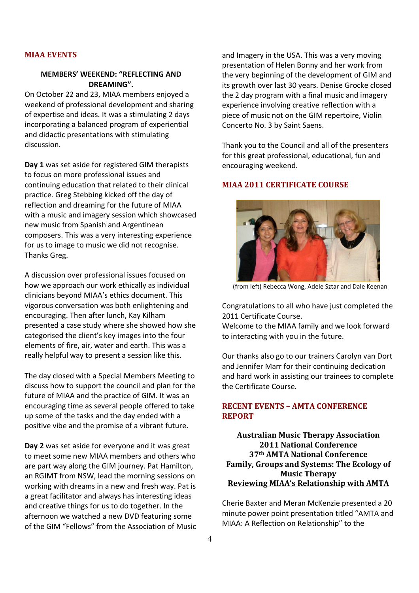## MIAA EVENTS

## MEMBERS' WEEKEND: "REFLECTING AND DREAMING".

On October 22 and 23, MIAA members enjoyed a weekend of professional development and sharing of expertise and ideas. It was a stimulating 2 days incorporating a balanced program of experiential and didactic presentations with stimulating discussion.

Day 1 was set aside for registered GIM therapists to focus on more professional issues and continuing education that related to their clinical practice. Greg Stebbing kicked off the day of reflection and dreaming for the future of MIAA with a music and imagery session which showcased new music from Spanish and Argentinean composers. This was a very interesting experience for us to image to music we did not recognise. Thanks Greg.

A discussion over professional issues focused on how we approach our work ethically as individual clinicians beyond MIAA's ethics document. This vigorous conversation was both enlightening and encouraging. Then after lunch, Kay Kilham presented a case study where she showed how she categorised the client's key images into the four elements of fire, air, water and earth. This was a really helpful way to present a session like this.

The day closed with a Special Members Meeting to discuss how to support the council and plan for the future of MIAA and the practice of GIM. It was an encouraging time as several people offered to take up some of the tasks and the day ended with a positive vibe and the promise of a vibrant future.

Day 2 was set aside for everyone and it was great to meet some new MIAA members and others who are part way along the GIM journey. Pat Hamilton, an RGIMT from NSW, lead the morning sessions on working with dreams in a new and fresh way. Pat is a great facilitator and always has interesting ideas and creative things for us to do together. In the afternoon we watched a new DVD featuring some of the GIM "Fellows" from the Association of Music and Imagery in the USA. This was a very moving presentation of Helen Bonny and her work from the very beginning of the development of GIM and its growth over last 30 years. Denise Grocke closed the 2 day program with a final music and imagery experience involving creative reflection with a piece of music not on the GIM repertoire, Violin Concerto No. 3 by Saint Saens.

Thank you to the Council and all of the presenters for this great professional, educational, fun and encouraging weekend.

## MIAA 2011 CERTIFICATE COURSE



(from left) Rebecca Wong, Adele Sztar and Dale Keenan

Congratulations to all who have just completed the 2011 Certificate Course.

Welcome to the MIAA family and we look forward to interacting with you in the future.

Our thanks also go to our trainers Carolyn van Dort and Jennifer Marr for their continuing dedication and hard work in assisting our trainees to complete the Certificate Course.

## RECENT EVENTS – AMTA CONFERENCE REPORT

Australian Music Therapy Association 2011 National Conference 37th AMTA National Conference Family, Groups and Systems: The Ecology of Music Therapy Reviewing MIAA's Relationship with AMTA

Cherie Baxter and Meran McKenzie presented a 20 minute power point presentation titled "AMTA and MIAA: A Reflection on Relationship" to the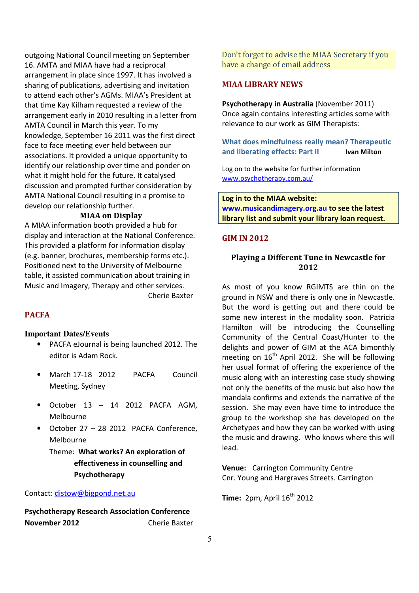outgoing National Council meeting on September 16. AMTA and MIAA have had a reciprocal arrangement in place since 1997. It has involved a sharing of publications, advertising and invitation to attend each other's AGMs. MIAA's President at that time Kay Kilham requested a review of the arrangement early in 2010 resulting in a letter from AMTA Council in March this year. To my knowledge, September 16 2011 was the first direct face to face meeting ever held between our associations. It provided a unique opportunity to identify our relationship over time and ponder on what it might hold for the future. It catalysed discussion and prompted further consideration by AMTA National Council resulting in a promise to develop our relationship further.

#### MIAA on Display

A MIAA information booth provided a hub for display and interaction at the National Conference. This provided a platform for information display (e.g. banner, brochures, membership forms etc.). Positioned next to the University of Melbourne table, it assisted communication about training in Music and Imagery, Therapy and other services.

Cherie Baxter

## PACFA

#### **Important Dates/Events**

- PACFA eJournal is being launched 2012. The editor is Adam Rock.
- March 17-18 2012 PACFA Council Meeting, Sydney
- $\bullet$  October 13 14 2012 PACFA AGM, Melbourne
- October 27 28 2012 PACFA Conference, Melbourne

Theme: What works? An exploration of effectiveness in counselling and Psychotherapy

#### Contact: distow@bigpond.net.au

Psychotherapy Research Association Conference November 2012 Cherie Baxter Don't forget to advise the MIAA Secretary if you have a change of email address

## MIAA LIBRARY NEWS

Psychotherapy in Australia (November 2011) Once again contains interesting articles some with relevance to our work as GIM Therapists:

## What does mindfulness really mean? Therapeutic and liberating effects: Part II Ivan Milton

Log on to the website for further information www.psychotherapy.com.au/

Log in to the MIAA website: www.musicandimagery.org.au to see the latest library list and submit your library loan request.

#### GIM IN 2012

## Playing a Different Tune in Newcastle for 2012

As most of you know RGIMTS are thin on the ground in NSW and there is only one in Newcastle. But the word is getting out and there could be some new interest in the modality soon. Patricia Hamilton will be introducing the Counselling Community of the Central Coast/Hunter to the delights and power of GIM at the ACA bimonthly meeting on  $16<sup>th</sup>$  April 2012. She will be following her usual format of offering the experience of the music along with an interesting case study showing not only the benefits of the music but also how the mandala confirms and extends the narrative of the session. She may even have time to introduce the group to the workshop she has developed on the Archetypes and how they can be worked with using the music and drawing. Who knows where this will lead.

Venue: Carrington Community Centre Cnr. Young and Hargraves Streets. Carrington

Time:  $2pm$ , April  $16<sup>th</sup>$  2012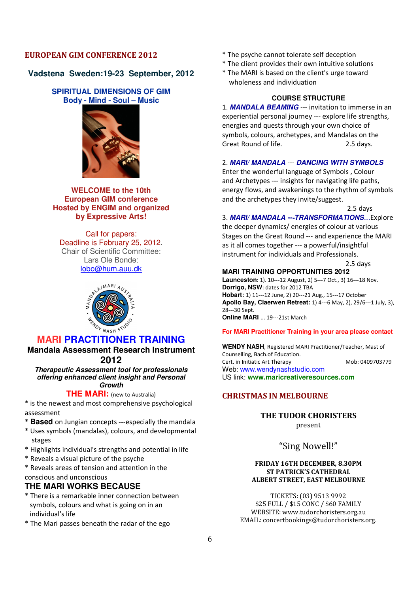## EUROPEAN GIM CONFERENCE 2012

## **Vadstena Sweden:19-23 September, 2012**

## **SPIRITUAL DIMENSIONS OF GIM Body - Mind - Soul – Music**



**WELCOME to the 10th European GIM conference Hosted by ENGIM and organized by Expressive Arts!** 

Call for papers: Deadline is February 25, 2012. Chair of Scientific Committee: Lars Ole Bonde: lobo@hum.auu.dk



## **MARI PRACTITIONER TRAINING**

**Mandala Assessment Research Instrument 2012** 

**Therapeutic Assessment tool for professionals offering enhanced client insight and Personal Growth** 

## **THE MARI:** (new to Australia)

\* is the newest and most comprehensive psychological assessment

- \* **Based** on Jungian concepts ---especially the mandala
- \* Uses symbols (mandalas), colours, and developmental stages
- \* Highlights individual's strengths and potential in life
- \* Reveals a visual picture of the psyche
- \* Reveals areas of tension and attention in the conscious and unconscious

## **THE MARI WORKS BECAUSE**

- \* There is a remarkable inner connection between symbols, colours and what is going on in an individual's life
- \* The Mari passes beneath the radar of the ego
- \* The psyche cannot tolerate self deception
- \* The client provides their own intuitive solutions
- \* The MARI is based on the client's urge toward wholeness and individuation

## **COURSE STRUCTURE**

1. **MANDALA BEAMING** --- invitation to immerse in an experiential personal journey --- explore life strengths, energies and quests through your own choice of symbols, colours, archetypes, and Mandalas on the Great Round of life. 2.5 days.

#### 2. **MARI/ MANDALA** --- **DANCING WITH SYMBOLS**

Enter the wonderful language of Symbols , Colour and Archetypes --- insights for navigating life paths, energy flows, and awakenings to the rhythm of symbols and the archetypes they invite/suggest.

2.5 days

3. MARI/ MANDALA --- TRANSFORMATIONS...Explore

the deeper dynamics/ energies of colour at various Stages on the Great Round --- and experience the MARI as it all comes together --- a powerful/insightful instrument for individuals and Professionals.

2.5 days

#### **MARI TRAINING OPPORTUNITIES 2012**

**Launceston**: 1). 10---12 August, 2) 5---7 Oct., 3) 16---18 Nov. **Dorrigo, NSW**: dates for 2012 TBA **Hobart:** 1) 11---12 June, 2) 20---21 Aug., 15---17 October **Apollo Bay, Claerwen Retreat:** 1) 4---6 May, 2), 29/6---1 July, 3), 28---30 Sept. **Online MARI** ... 19---21st March

#### **For MARI Practitioner Training in your area please contact**

**WENDY NASH**, Registered MARI Practitioner/Teacher, Mast of Counselling, Bach.of Education. Cert. in Initiatic Art Therapy Mob: 0409703779 Web: www.wendynashstudio.com US link: **www.maricreativeresources.com**

## CHRISTMAS IN MELBOURNE

THE TUDOR CHORISTERS

present

"Sing Nowell!"

#### FRIDAY 16TH DECEMBER, 8.30PM ST PATRICK'S CATHEDRAL ALBERT STREET, EAST MELBOURNE

TICKETS: (03) 9513 9992 \$25 FULL / \$15 CONC / \$60 FAMILY WEBSITE: www.tudorchoristers.org.au EMAIL: concertbookings@tudorchoristers.org.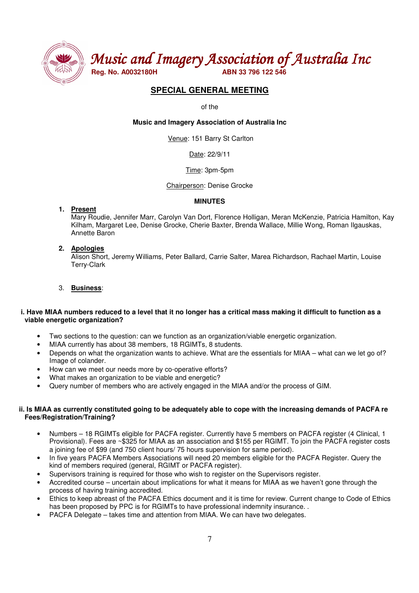

Music and Imagery Association of Australia Inc

## **SPECIAL GENERAL MEETING**

of the

**Music and Imagery Association of Australia Inc** 

Venue: 151 Barry St Carlton

Date: 22/9/11

#### Time: 3pm-5pm

Chairperson: Denise Grocke

#### **MINUTES**

**1. Present** 

Mary Roudie, Jennifer Marr, Carolyn Van Dort, Florence Holligan, Meran McKenzie, Patricia Hamilton, Kay Kilham, Margaret Lee, Denise Grocke, Cherie Baxter, Brenda Wallace, Millie Wong, Roman Ilgauskas, Annette Baron

## **2. Apologies**

Alison Short, Jeremy Williams, Peter Ballard, Carrie Salter, Marea Richardson, Rachael Martin, Louise Terry-Clark

## 3. **Business**:

#### **i. Have MIAA numbers reduced to a level that it no longer has a critical mass making it difficult to function as a viable energetic organization?**

- Two sections to the question: can we function as an organization/viable energetic organization.
- MIAA currently has about 38 members, 18 RGIMTs, 8 students.
- Depends on what the organization wants to achieve. What are the essentials for MIAA what can we let go of? Image of colander.
- How can we meet our needs more by co-operative efforts?
- What makes an organization to be viable and energetic?
- Query number of members who are actively engaged in the MIAA and/or the process of GIM.

#### **ii. Is MIAA as currently constituted going to be adequately able to cope with the increasing demands of PACFA re Fees/Registration/Training?**

- Numbers 18 RGIMTs eligible for PACFA register. Currently have 5 members on PACFA register (4 Clinical, 1 Provisional). Fees are ~\$325 for MIAA as an association and \$155 per RGIMT. To join the PACFA register costs a joining fee of \$99 (and 750 client hours/ 75 hours supervision for same period).
- In five years PACFA Members Associations will need 20 members eligible for the PACFA Register. Query the kind of members required (general, RGIMT or PACFA register).
- Supervisors training is required for those who wish to register on the Supervisors register.
- Accredited course uncertain about implications for what it means for MIAA as we haven't gone through the process of having training accredited.
- Ethics to keep abreast of the PACFA Ethics document and it is time for review. Current change to Code of Ethics has been proposed by PPC is for RGIMTs to have professional indemnity insurance. .
- PACFA Delegate takes time and attention from MIAA. We can have two delegates.